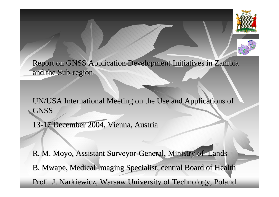



Report on GNSS Application Development Initiatives in Zambia and the Sub-region

UN/USA International Meeting on the Use and Applications of GNSS

13-17 December 2004, Vienna, Austria

R. M. Moyo, Assistant Surveyor-General, Ministry of Lands B. Mwape, Medical Imaging Specialist, central Board of Health Prof. J. Narkiewicz, Warsaw University of Technology, Poland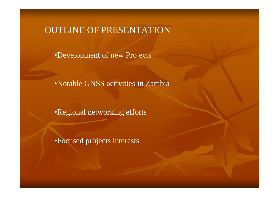#### OUTLINE OF PRESENTATION

•Development of new Projects

•Notable GNSS activities in Zambia

•Regional networking efforts

•Focused projects interests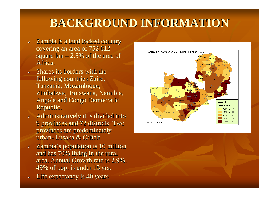### **BACKGROUND INFORMATION CKGROUND INFORMATION**

- $\triangleright$  Zambia is a land locked country covering an area of 752 612 square  $km - 2.5\%$  of the area of Africa.
- $\blacktriangleright$ Shares its borders with the following countries Zaire, Tanzania, Mozambique, Zimbabwe, Botswana, Namibia, Angola and Congo Democratic Angola and Congo Democratic Republic. Republic.
- $\triangleright$  Administratively it is divided into 9 provinces and 72 districts. Two 9 provinces and 72 districts. Two provinces are predominately provinces are predominately urban- Lusaka & C/Belt
- $\blacktriangleright$ Zambia's population is 10 million and has 70% living in the rural area. Annual Growth rate is 2.9%. 49% of pop. is under 15 yrs. 49% of pop. is under 15 yrs.
- $\triangleright$  Life expectancy is 40 years

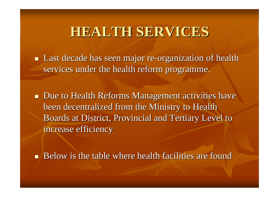## **HEALTH SERVICES HEALTH SERVICES**

**Last decade has seen major re-organization of health** services under the health reform programme.

**Due to Health Reforms Management activities have** been decentralized from the Ministry to Health Boards at District, Provincial and Tertiary Level to increase efficiency

Below is the table where health facilities are found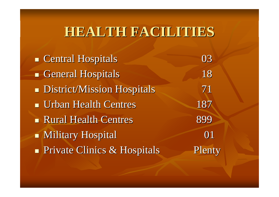## **HEALTH FACILITIES HEALTH FACILITIES**

**Central Hospitals** Central Hospitals Contral Central Hospitals Contract Contract Contract Contract Contract Contract Contract Contract Contract Contract Contract Contract Contract Contract Contract Contract Contract Contr General Hospitals 18 **District/Mission Hospitals** 71 **Urban Health Centres** 187 **Rural Health Centres** 899  $\blacksquare$  Military Hospital  $\hspace{1.6cm} 01$ **Private Clinics & Hospitals** Plenty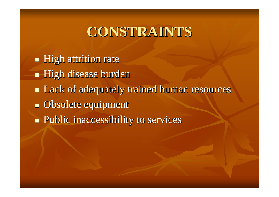# **CONSTRAINTS CONSTRAINTS**

- $\blacksquare$  High attrition rate
- **High disease burden**
- **Lack of adequately trained human resources**
- **Obsolete equipment**
- **Public inaccessibility to services**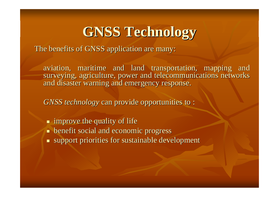# **GNSS Technology GNSS Technology**

The benefits of GNSS application are many:

aviation, maritime and land transportation, mapping and surveying, agriculture, power and telecommunications networks and disaster warning and emergency response.

*GNSS technology* can provide opportunities to :

 $\blacksquare$  improve the quality of life  $\blacksquare$  benefit social and economic progress  $\blacksquare$  support priorities for sustainable development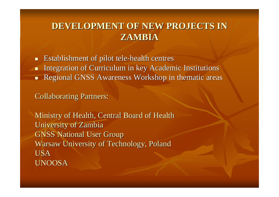#### **DEVELOPMENT OF NEW PROJECTS IN DEVELOPMENT OF NEW PROJECTS IN ZAMBIA**

 $\blacksquare$  $\blacksquare$  Establishment of pilot tele-health centres

- $\blacksquare$ Integration of Curriculum in key Academic Institutions
- $\blacksquare$ Regional GNSS Awareness Workshop in thematic areas

**Collaborating Partners:** 

Ministry of Health, Central Board of Health University of Zambia **GNSS National User Group** Warsaw University of Technology, Poland USAUNOOSA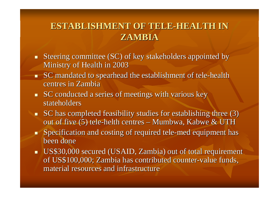#### **ESTABLISHMENT OF TELE ESTABLISHMENT OF TELE-HEALTH IN HEALTH IN ZAMBIA**

- $\blacksquare$ Steering committee (SC) of key stakeholders appointed by Ministry of Health in 2003
- $\blacksquare$ **SC** mandated to spearhead the establishment of tele-health centres in Zambia
- $\blacksquare$  SC conducted a series of meetings with various key stateholders
- $\blacksquare$  SC has completed feasibility studies for establishing three (3) out of five (5) tele-helth centres – – Mumbwa, Kabwe & UTH
- $\blacksquare$  $\blacksquare$  Specification and costing of required tele-med equipment has been done
- US\$30,000 secured (USAID, Zambia) out of total requirement of US\$100,000; Zambia has contributed counter-value funds, material resources and infrastructure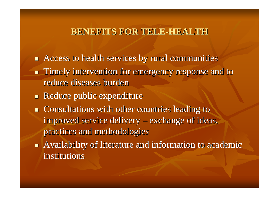#### **BENEFITS FOR TELE BENEFITS FOR TELE-HEALTH**

- $\blacksquare$  Access to health services by rural communities
- **Timely intervention for emergency response and to** reduce diseases burden
- $\blacksquare$  Reduce public expenditure
- $\blacksquare$  Consultations with other countries leading to improved service delivery : – exchange of ideas, practices and methodologies
- $\blacksquare$  Availability of literature and information to academic institutions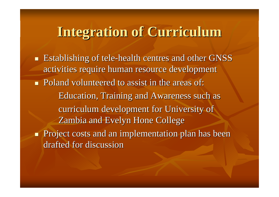## **Integration of Curriculum Integration of Curriculum**

**E** Establishing of tele-health centres and other GNSS activities require human resource development Poland volunteered to assist in the areas of: Poland volunteered to assist in the areas of: Education, Training and Awareness such as Education, Training and Awareness such as curriculum development for University of Zambia and Evelyn Hone College **Project costs and an implementation plan has been** drafted for discussion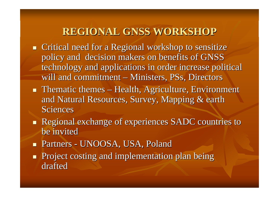#### **REGIONAL GNSS WORKSHOP**

- $\blacksquare$  Critical need for a Regional workshop to sensitize policy and decision makers on benefits of GNSS technology and applications in order increase political will and commitment  $-$ – Ministers, PSs, Directors
- **Thematic themes** – Health, Agriculture, Environment and Natural Resources, Survey, Mapping & earth Sciences
- **Regional exchange of experiences SADC countries to** be invited
- П ■ Partners -- UNOOSA, USA, Poland
- $\mathbb{R}^2$ Project costing and implementation plan being drafted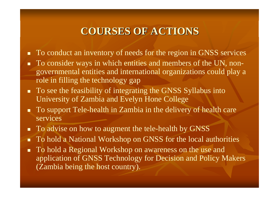#### **COURSES OF ACTIONS**

- $\blacksquare$  To conduct an inventory of needs for the region in GNSS services
- п To consider ways in which entities and members of the UN, nongovernmental entities and international organizations could play <sup>a</sup> role in filling the technology gap
- To see the feasibility of integrating the GNSS Syllabus into University of Zambia and Evelyn Hone College
- **To support Tele-health in Zambia in the delivery of health care** services
- To advise on how to augment the tele-health by GNSS
- $\blacksquare$ To hold a National Workshop on GNSS for the local authorities
- **To hold a Regional Workshop on awareness on the use and** application of GNSS Technology for Decision and Policy Makers (Zambia being the host country).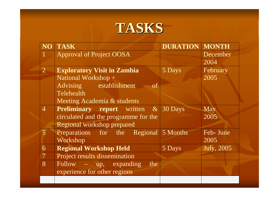

| <b>NO</b>      | <b>TASK</b>                                       | <b>DURATION MONTH</b> |            |
|----------------|---------------------------------------------------|-----------------------|------------|
|                | <b>Approval of Project OOSA</b>                   |                       | December   |
|                |                                                   |                       | 2004       |
| $\overline{2}$ | <b>Exploratory Visit in Zambia</b>                | 5 Days                | February   |
|                | National Workshop +                               |                       | 2005       |
|                | Advising establishment<br>-of                     |                       |            |
|                | Telehealth                                        |                       |            |
|                | Meeting Academia & students                       |                       |            |
| $\overline{4}$ | <b>Preliminary report</b> written $\&$ 30 Days    |                       | May        |
|                | circulated and the programme for the              |                       | 2005       |
|                | Regional workshop prepared                        |                       |            |
| 5              | Preparations for the Regional 5 Months            |                       | Feb- June  |
|                | Workshop                                          |                       | 2005       |
| 6              | <b>Regional Workshop Held</b>                     | $\overline{5}$ Days   | July, 2005 |
| $\overline{7}$ | Project results dissemination                     |                       |            |
| 8              | $\overline{\text{Follow}}$ – up, expanding<br>the |                       |            |
|                | experience for other regions                      |                       |            |
|                |                                                   |                       |            |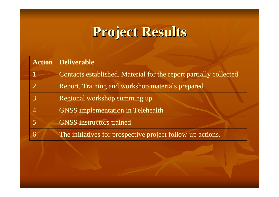# **Project Results Project Results**

| <b>Action Deliverable</b>                                         |  |
|-------------------------------------------------------------------|--|
| Contacts established. Material for the report partially collected |  |
| Report. Training and workshop materials prepared                  |  |
| Regional workshop summing up                                      |  |
| <b>GNSS</b> implementation in Telehealth                          |  |
| <b>GNSS</b> instructors trained                                   |  |
| The initiatives for prospective project follow-up actions.        |  |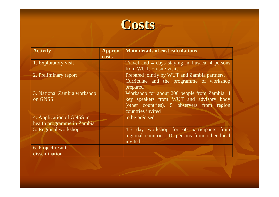

| <b>Activity</b>             | <b>Approx</b><br><b>costs</b> | <b>Main details of cost calculations</b>                                 |
|-----------------------------|-------------------------------|--------------------------------------------------------------------------|
| 1. Exploratory visit        |                               | Travel and 4 days staying in Lusaca, 4 persons                           |
| 2. Preliminary report       |                               | from WUT, on-site visits<br>Prepared jointly by WUT and Zambia partners. |
|                             |                               | Curriculae and the programme of workshop<br>prepared                     |
| 3. National Zambia workshop |                               | Workshop for about 200 people from Zambia, 4                             |
| on GNSS                     |                               | key speakers from WUT and advisory body                                  |
|                             |                               | (other countries). 5 observers from region<br>countries invited          |
| 4. Application of GNSS in   |                               | to be précised                                                           |
| health programme in Zambia  |                               |                                                                          |
| 5. Regional workshop        |                               | 4-5 day workshop for 60 participants from                                |
|                             |                               | regional countries, 10 persons from other local<br>invited.              |
| 6. Project results          |                               |                                                                          |
| dissemination               |                               |                                                                          |